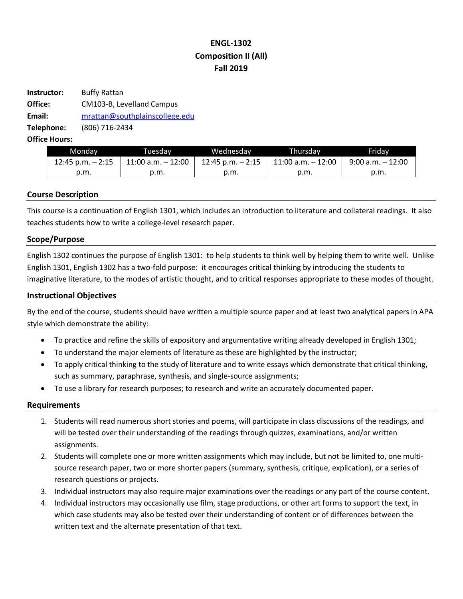# **ENGL-1302 Composition II (All) Fall 2019**

| Instructor: | <b>Buffy Rattan</b>            |
|-------------|--------------------------------|
| Office:     | CM103-B, Levelland Campus      |
| Email:      | mrattan@southplainscollege.edu |
| Telephone:  | (806) 716-2434                 |
|             |                                |

**Office Hours:** 

| Mondav               | Tuesdav               | Wednesdav         | Thursdav           | Fridav               |
|----------------------|-----------------------|-------------------|--------------------|----------------------|
| $12:45$ p.m. $-2:15$ | $11:00$ a.m. $-12:00$ | 12:45 p.m. – 2:15 | 11:00 a.m. - 12:00 | $9:00$ a.m. $-12:00$ |
| p.m.                 | 0.m.                  | p.m.              | p.m.               | p.m.                 |

## **Course Description**

This course is a continuation of English 1301, which includes an introduction to literature and collateral readings. It also teaches students how to write a college-level research paper.

## **Scope/Purpose**

English 1302 continues the purpose of English 1301: to help students to think well by helping them to write well. Unlike English 1301, English 1302 has a two-fold purpose: it encourages critical thinking by introducing the students to imaginative literature, to the modes of artistic thought, and to critical responses appropriate to these modes of thought.

## **Instructional Objectives**

By the end of the course, students should have written a multiple source paper and at least two analytical papers in APA style which demonstrate the ability:

- To practice and refine the skills of expository and argumentative writing already developed in English 1301;
- To understand the major elements of literature as these are highlighted by the instructor;
- To apply critical thinking to the study of literature and to write essays which demonstrate that critical thinking, such as summary, paraphrase, synthesis, and single-source assignments;
- To use a library for research purposes; to research and write an accurately documented paper.

#### **Requirements**

- 1. Students will read numerous short stories and poems, will participate in class discussions of the readings, and will be tested over their understanding of the readings through quizzes, examinations, and/or written assignments.
- 2. Students will complete one or more written assignments which may include, but not be limited to, one multisource research paper, two or more shorter papers (summary, synthesis, critique, explication), or a series of research questions or projects.
- 3. Individual instructors may also require major examinations over the readings or any part of the course content.
- 4. Individual instructors may occasionally use film, stage productions, or other art forms to support the text, in which case students may also be tested over their understanding of content or of differences between the written text and the alternate presentation of that text.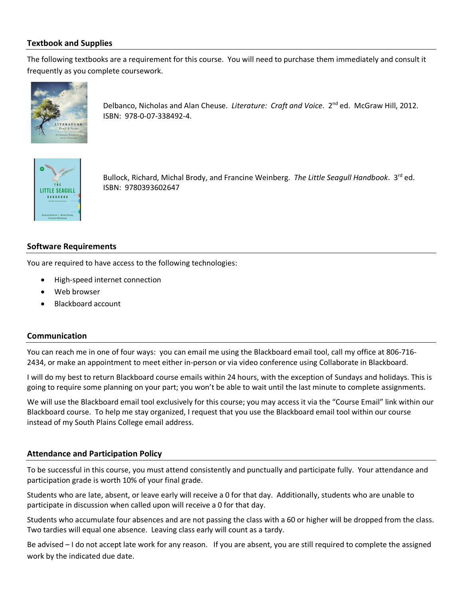## **Textbook and Supplies**

The following textbooks are a requirement for this course. You will need to purchase them immediately and consult it frequently as you complete coursework.



Delbanco, Nicholas and Alan Cheuse. *Literature: Craft and Voice*. 2nd ed. McGraw Hill, 2012. ISBN: 978-0-07-338492-4.



Bullock, Richard, Michal Brody, and Francine Weinberg. *The Little Seagull Handbook*. 3rd ed. ISBN: 9780393602647

## **Software Requirements**

You are required to have access to the following technologies:

- High-speed internet connection
- Web browser
- Blackboard account

## **Communication**

You can reach me in one of four ways: you can email me using the Blackboard email tool, call my office at 806-716- 2434, or make an appointment to meet either in-person or via video conference using Collaborate in Blackboard.

I will do my best to return Blackboard course emails within 24 hours, with the exception of Sundays and holidays. This is going to require some planning on your part; you won't be able to wait until the last minute to complete assignments.

We will use the Blackboard email tool exclusively for this course; you may access it via the "Course Email" link within our Blackboard course. To help me stay organized, I request that you use the Blackboard email tool within our course instead of my South Plains College email address.

## **Attendance and Participation Policy**

To be successful in this course, you must attend consistently and punctually and participate fully. Your attendance and participation grade is worth 10% of your final grade.

Students who are late, absent, or leave early will receive a 0 for that day. Additionally, students who are unable to participate in discussion when called upon will receive a 0 for that day.

Students who accumulate four absences and are not passing the class with a 60 or higher will be dropped from the class. Two tardies will equal one absence. Leaving class early will count as a tardy.

Be advised – I do not accept late work for any reason. If you are absent, you are still required to complete the assigned work by the indicated due date.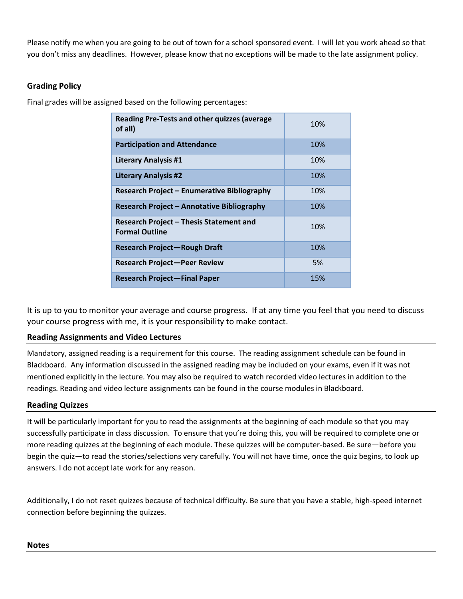Please notify me when you are going to be out of town for a school sponsored event. I will let you work ahead so that you don't miss any deadlines. However, please know that no exceptions will be made to the late assignment policy.

## **Grading Policy**

Final grades will be assigned based on the following percentages:

| <b>Reading Pre-Tests and other quizzes (average</b><br>of all)          | 10% |
|-------------------------------------------------------------------------|-----|
| <b>Participation and Attendance</b>                                     | 10% |
| <b>Literary Analysis #1</b>                                             | 10% |
| <b>Literary Analysis #2</b>                                             | 10% |
| <b>Research Project - Enumerative Bibliography</b>                      | 10% |
| Research Project - Annotative Bibliography                              | 10% |
| <b>Research Project - Thesis Statement and</b><br><b>Formal Outline</b> | 10% |
| <b>Research Project-Rough Draft</b>                                     | 10% |
| <b>Research Project-Peer Review</b>                                     | 5%  |
| <b>Research Project—Final Paper</b>                                     | 15% |

It is up to you to monitor your average and course progress. If at any time you feel that you need to discuss your course progress with me, it is your responsibility to make contact.

## **Reading Assignments and Video Lectures**

Mandatory, assigned reading is a requirement for this course. The reading assignment schedule can be found in Blackboard. Any information discussed in the assigned reading may be included on your exams, even if it was not mentioned explicitly in the lecture. You may also be required to watch recorded video lectures in addition to the readings. Reading and video lecture assignments can be found in the course modules in Blackboard.

## **Reading Quizzes**

It will be particularly important for you to read the assignments at the beginning of each module so that you may successfully participate in class discussion. To ensure that you're doing this, you will be required to complete one or more reading quizzes at the beginning of each module. These quizzes will be computer-based. Be sure—before you begin the quiz—to read the stories/selections very carefully. You will not have time, once the quiz begins, to look up answers. I do not accept late work for any reason.

Additionally, I do not reset quizzes because of technical difficulty. Be sure that you have a stable, high-speed internet connection before beginning the quizzes.

## **Notes**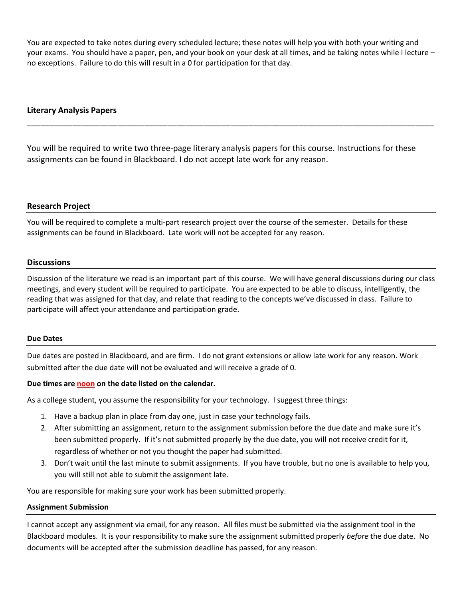You are expected to take notes during every scheduled lecture; these notes will help you with both your writing and your exams. You should have a paper, pen, and your book on your desk at all times, and be taking notes while I lecture – no exceptions. Failure to do this will result in a 0 for participation for that day.

## **Literary Analysis Papers**

You will be required to write two three-page literary analysis papers for this course. Instructions for these assignments can be found in Blackboard. I do not accept late work for any reason.

\_\_\_\_\_\_\_\_\_\_\_\_\_\_\_\_\_\_\_\_\_\_\_\_\_\_\_\_\_\_\_\_\_\_\_\_\_\_\_\_\_\_\_\_\_\_\_\_\_\_\_\_\_\_\_\_\_\_\_\_\_\_\_\_\_\_\_\_\_\_\_\_\_\_\_\_\_\_\_\_\_\_\_\_\_\_\_\_\_\_

## **Research Project**

You will be required to complete a multi-part research project over the course of the semester. Details for these assignments can be found in Blackboard. Late work will not be accepted for any reason.

#### **Discussions**

Discussion of the literature we read is an important part of this course. We will have general discussions during our class meetings, and every student will be required to participate. You are expected to be able to discuss, intelligently, the reading that was assigned for that day, and relate that reading to the concepts we've discussed in class. Failure to participate will affect your attendance and participation grade.

#### **Due Dates**

Due dates are posted in Blackboard, and are firm. I do not grant extensions or allow late work for any reason. Work submitted after the due date will not be evaluated and will receive a grade of 0.

#### **Due times are noon on the date listed on the calendar.**

As a college student, you assume the responsibility for your technology. I suggest three things:

- 1. Have a backup plan in place from day one, just in case your technology fails.
- 2. After submitting an assignment, return to the assignment submission before the due date and make sure it's been submitted properly. If it's not submitted properly by the due date, you will not receive credit for it, regardless of whether or not you thought the paper had submitted.
- 3. Don't wait until the last minute to submit assignments. If you have trouble, but no one is available to help you, you will still not able to submit the assignment late.

You are responsible for making sure your work has been submitted properly.

#### **Assignment Submission**

I cannot accept any assignment via email, for any reason. All files must be submitted via the assignment tool in the Blackboard modules. It is your responsibility to make sure the assignment submitted properly *before* the due date. No documents will be accepted after the submission deadline has passed, for any reason.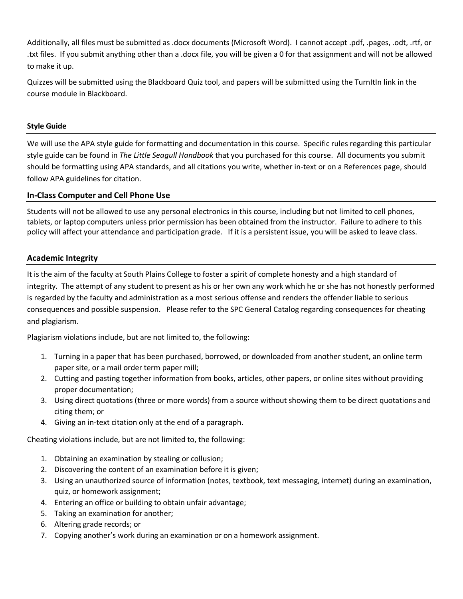Additionally, all files must be submitted as .docx documents (Microsoft Word). I cannot accept .pdf, .pages, .odt, .rtf, or .txt files. If you submit anything other than a .docx file, you will be given a 0 for that assignment and will not be allowed to make it up.

Quizzes will be submitted using the Blackboard Quiz tool, and papers will be submitted using the TurnItIn link in the course module in Blackboard.

## **Style Guide**

We will use the APA style guide for formatting and documentation in this course. Specific rules regarding this particular style guide can be found in *The Little Seagull Handbook* that you purchased for this course. All documents you submit should be formatting using APA standards, and all citations you write, whether in-text or on a References page, should follow APA guidelines for citation.

## **In-Class Computer and Cell Phone Use**

Students will not be allowed to use any personal electronics in this course, including but not limited to cell phones, tablets, or laptop computers unless prior permission has been obtained from the instructor. Failure to adhere to this policy will affect your attendance and participation grade. If it is a persistent issue, you will be asked to leave class.

## **Academic Integrity**

It is the aim of the faculty at South Plains College to foster a spirit of complete honesty and a high standard of integrity. The attempt of any student to present as his or her own any work which he or she has not honestly performed is regarded by the faculty and administration as a most serious offense and renders the offender liable to serious consequences and possible suspension. Please refer to the SPC General Catalog regarding consequences for cheating and plagiarism.

Plagiarism violations include, but are not limited to, the following:

- 1. Turning in a paper that has been purchased, borrowed, or downloaded from another student, an online term paper site, or a mail order term paper mill;
- 2. Cutting and pasting together information from books, articles, other papers, or online sites without providing proper documentation;
- 3. Using direct quotations (three or more words) from a source without showing them to be direct quotations and citing them; or
- 4. Giving an in-text citation only at the end of a paragraph.

Cheating violations include, but are not limited to, the following:

- 1. Obtaining an examination by stealing or collusion;
- 2. Discovering the content of an examination before it is given;
- 3. Using an unauthorized source of information (notes, textbook, text messaging, internet) during an examination, quiz, or homework assignment;
- 4. Entering an office or building to obtain unfair advantage;
- 5. Taking an examination for another;
- 6. Altering grade records; or
- 7. Copying another's work during an examination or on a homework assignment.